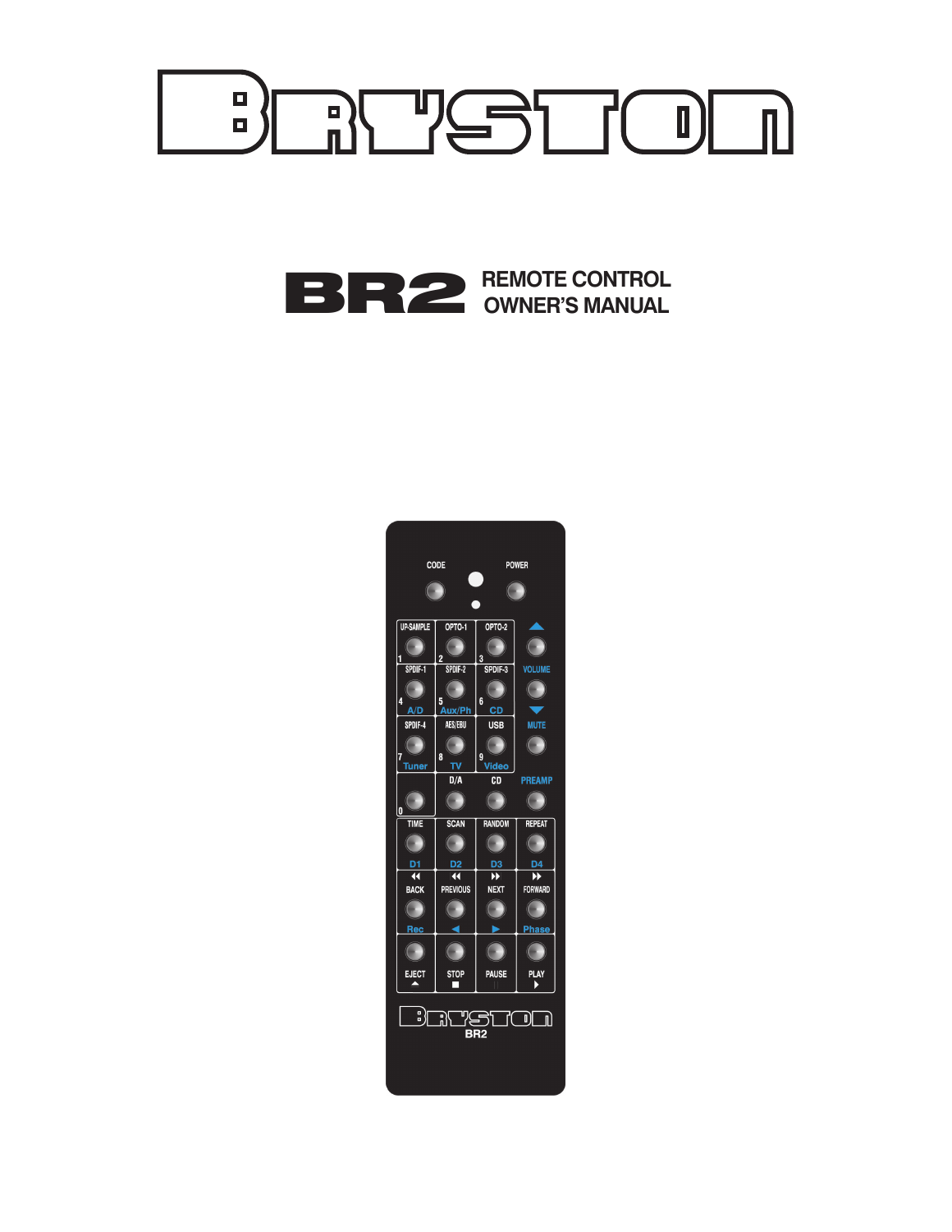

# BR2 **REMOTE CONTROL OWNER'S MANUAL**

| CODE                                   |                        | <b>POWER</b>            |                |
|----------------------------------------|------------------------|-------------------------|----------------|
| <b>C</b>                               |                        | $\Box$                  |                |
|                                        |                        |                         |                |
| <b>UP SAMPLE</b>                       | OPTO-1                 | OPTO-2                  |                |
| i                                      | $\overline{2}$         | 3                       | Œ              |
| SPDIF-1                                | SPDIF-2                | SPDIF-3                 | <b>VOLUME</b>  |
| 4                                      |                        | 6                       | $\overline{ }$ |
| A/D<br>SPDIF-4                         | 5<br>Aux/Ph<br>AES/EBU | <b>CD</b><br><b>USB</b> | <b>MUTE</b>    |
| $\overline{(\ }$                       | $\left($               |                         |                |
| ī.                                     | 8                      | g                       | $(\ )$         |
| Tuner                                  | Ţγ<br>D/A              | Video<br>CD             | <b>PREAMP</b>  |
|                                        | (L                     | <b>C</b>                | <b>C</b>       |
| lo                                     |                        |                         |                |
| TIME                                   | <b>SCAN</b>            | <b>RANDOM</b>           | REPEAT         |
|                                        |                        |                         |                |
| D1                                     | D2                     | $\frac{D3}{D}$          |                |
| $\overline{\mathbf{R}}$<br><b>BACK</b> | K<br><b>PREVIOUS</b>   | <b>NEXT</b>             | <b>FORWARD</b> |
| $\sqrt{2}$                             | <b>C</b>               |                         |                |
| Rec                                    |                        |                         | Phase          |
|                                        |                        |                         |                |
|                                        |                        |                         |                |
| <b>EJECT</b>                           | <b>STOP</b>            | <b>PAUSE</b>            | PLAY           |
| பி                                     |                        |                         |                |
| 9<br>了<br>ß<br>O)<br>U)<br>BR2         |                        |                         |                |
|                                        |                        |                         |                |
|                                        |                        |                         |                |
|                                        |                        |                         |                |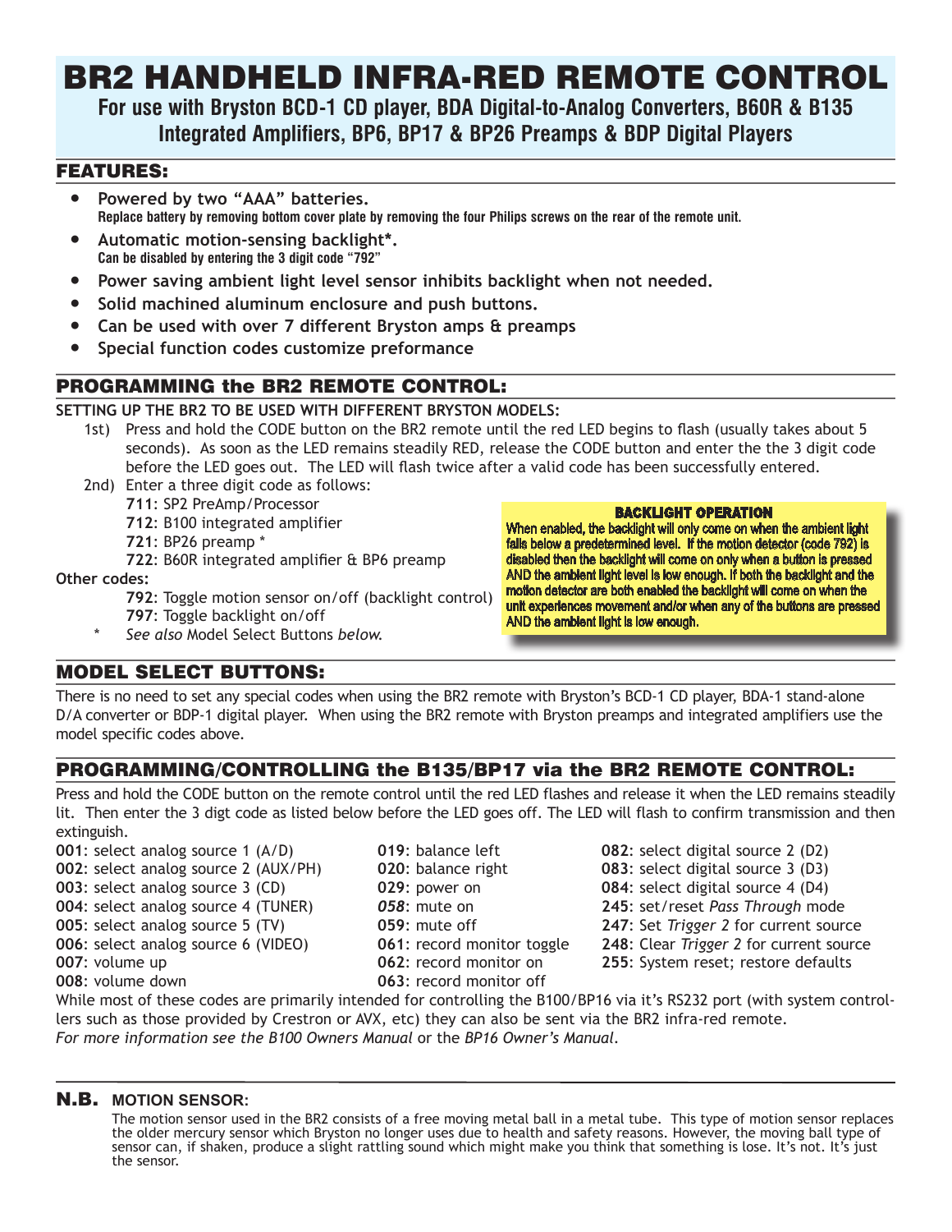# BR2 HANDHELD INFRA-RED REMOTE CONTROL

**For use with Bryston BCD-1 CD player, BDA Digital-to-Analog Converters, B60R & B135 Integrated Amplifiers, BP6, BP17 & BP26 Preamps & BDP Digital Players**

#### FEATURES:

- **● Powered by two "AAA" batteries. Replace battery by removing bottom cover plate by removing the four Philips screws on the rear of the remote unit.**
- **● Automatic motion-sensing backlight\*. Can be disabled by entering the 3 digit code "792"**
- **● Power saving ambient light level sensor inhibits backlight when not needed.**
- **● Solid machined aluminum enclosure and push buttons.**
- **● Can be used with over 7 different Bryston amps & preamps**
- **● Special function codes customize preformance**

# PROGRAMMING the BR2 REMOTE CONTROL:

#### **SETTING UP THE BR2 TO BE USED WITH DIFFERENT BRYSTON MODELS:**

- 1st) Press and hold the CODE button on the BR2 remote until the red LED begins to flash (usually takes about 5 seconds). As soon as the LED remains steadily RED, release the CODE button and enter the the 3 digit code before the LED goes out. The LED will flash twice after a valid code has been successfully entered.
- 2nd) Enter a three digit code as follows:
	- **711**: SP2 PreAmp/Processor
		- **712**: B100 integrated amplifier
		- **721**: BP26 preamp \*
	- **722**: B60R integrated amplifier & BP6 preamp

**Other codes:**

- **792**: Toggle motion sensor on/off (backlight control)
- **797**: Toggle backlight on/off
- *\* See also* Model Select Buttons *below.*

#### BACKLIGHT OPERATION

When enabled, the backlight will only come on when the ambient light falls below a predetermined level. If the motion detector (code 792) is disabled then the backlight will come on only when a button is pressed AND the ambient light level is low enough. If both the backlight and the motion detector are both enabled the backlight will come on when the unit experiences movement and/or when any of the buttons are pressed AND the ambient light is low enough.

#### MODEL SELECT BUTTONS:

There is no need to set any special codes when using the BR2 remote with Bryston's BCD-1 CD player, BDA-1 stand-alone D/A converter or BDP-1 digital player. When using the BR2 remote with Bryston preamps and integrated amplifiers use the model specific codes above.

# PROGRAMMING/CONTROLLING the B135/BP17 via the BR2 REMOTE CONTROL:

Press and hold the CODE button on the remote control until the red LED flashes and release it when the LED remains steadily lit. Then enter the 3 digt code as listed below before the LED goes off. The LED will flash to confirm transmission and then extinguish.

- **001**: select analog source 1 (A/D) **019**: balance left **082**: select digital source 2 (D2) **002**: select analog source 2 (AUX/PH) **020**: balance right **083**: select digital source 3 (D3) **003**: select analog source 3 (CD) **029**: power on **084**: select digital source 4 (D4) **004**: select analog source 4 (TUNER) *058*: mute on **245**: set/reset *Pass Through* mode
- 
- 
- -
- **008**: volume down **063**: record monitor off
- 
- 
- 
- 
- **005**: select analog source 5 (TV) **059**: mute off **247**: Set *Trigger 2* for current source
- **006**: select analog source 6 (VIDEO) **061**: record monitor toggle **248**: Clear *Trigger 2* for current source
- **007**: volume up **1062**: record monitor on **255**: System reset; restore defaults

While most of these codes are primarily intended for controlling the B100/BP16 via it's RS232 port (with system controllers such as those provided by Crestron or AVX, etc) they can also be sent via the BR2 infra-red remote. *For more information see the B100 Owners Manual* or the *BP16 Owner's Manual.*

#### N.B. **MOTION SENSOR:**

The motion sensor used in the BR2 consists of a free moving metal ball in a metal tube. This type of motion sensor replaces the older mercury sensor which Bryston no longer uses due to health and safety reasons. However, the moving ball type of sensor can, if shaken, produce a slight rattling sound which might make you think that something is lose. It's not. It's just the sensor.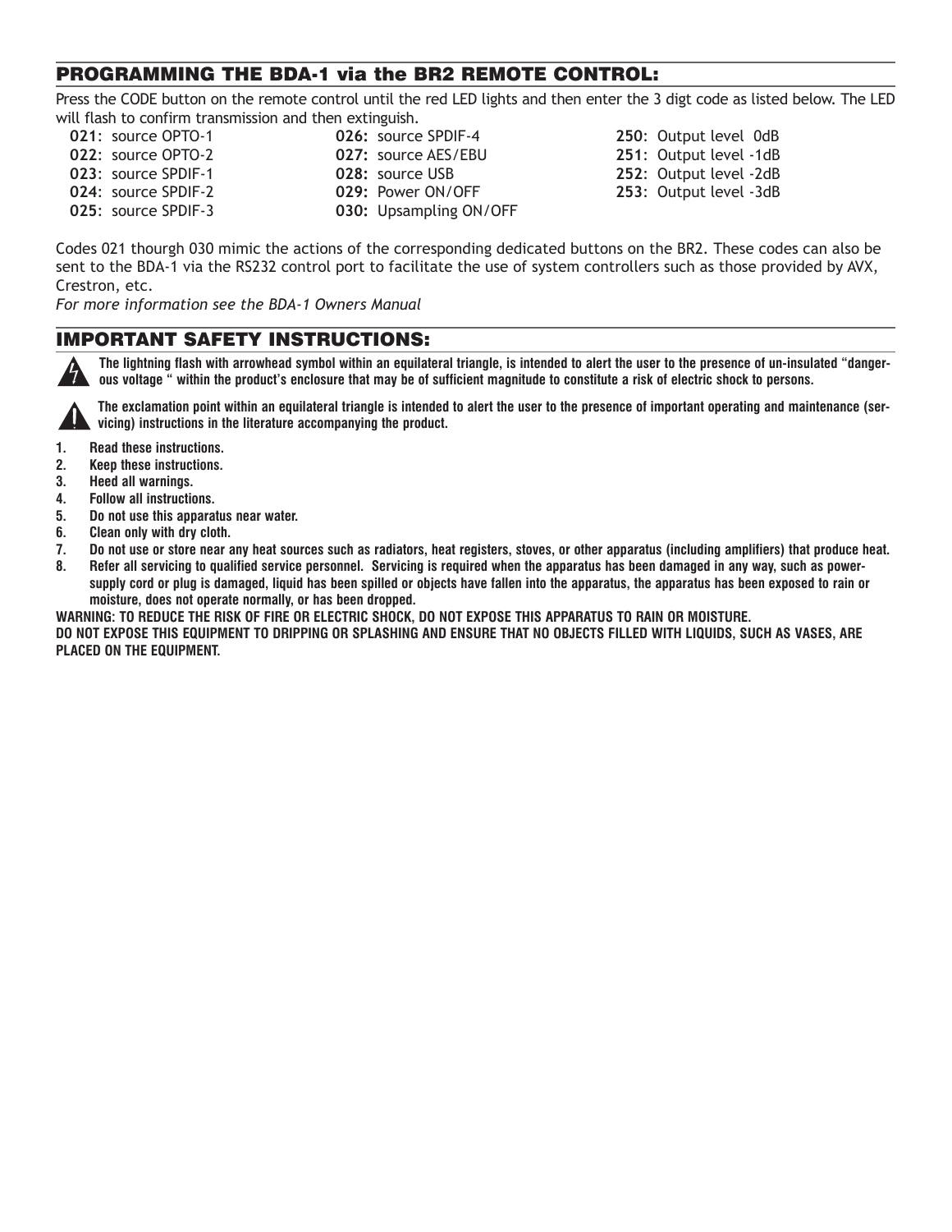## PROGRAMMING THE BDA-1 via the BR2 REMOTE CONTROL:

Press the CODE button on the remote control until the red LED lights and then enter the 3 digt code as listed below. The LED will flash to confirm transmission and then extinguish.

- 
- 
- 
- **021:** source OPTO-1 **026:** source SPDIF-4 **250:** Output level 0dB **024:** source SPDIF-2 **029:** Power ON/OFF **253:** Output level -3dB **025**: source SPDIF-3 **030:** Upsampling ON/OFF
- **022:** source OPTO-2 **027:** source AES/EBU **251:** Output level -1dB **023:** source SPDIF-1 **028:** source USB **252:** Output level -2dB

Codes 021 thourgh 030 mimic the actions of the corresponding dedicated buttons on the BR2. These codes can also be sent to the BDA-1 via the RS232 control port to facilitate the use of system controllers such as those provided by AVX, Crestron, etc.

*For more information see the BDA-1 Owners Manual* 

## IMPORTANT SAFETY INSTRUCTIONS:

**The lightning flash with arrowhead symbol within an equilateral triangle, is intended to alert the user to the presence of un-insulated "dangerous voltage " within the product's enclosure that may be of sufficient magnitude to constitute a risk of electric shock to persons.** 



**The exclamation point within an equilateral triangle is intended to alert the user to the presence of important operating and maintenance (servicing) instructions in the literature accompanying the product.** 

- **1. Read these instructions.**
- **2. Keep these instructions.**
- **3. Heed all warnings.**
- **4. Follow all instructions.**
- **5. Do not use this apparatus near water.**
- **6. Clean only with dry cloth.**
- **7. Do not use or store near any heat sources such as radiators, heat registers, stoves, or other apparatus (including amplifiers) that produce heat. 8. Refer all servicing to qualified service personnel. Servicing is required when the apparatus has been damaged in any way, such as power-**
- **supply cord or plug is damaged, liquid has been spilled or objects have fallen into the apparatus, the apparatus has been exposed to rain or moisture, does not operate normally, or has been dropped.**

**WARNING: TO REDUCE THE RISK OF FIRE OR ELECTRIC SHOCK, DO NOT EXPOSE THIS APPARATUS TO RAIN OR MOISTURE. DO NOT EXPOSE THIS EQUIPMENT TO DRIPPING OR SPLASHING AND ENSURE THAT NO OBJECTS FILLED WITH LIQUIDS, SUCH AS VASES, ARE PLACED ON THE EQUIPMENT.**